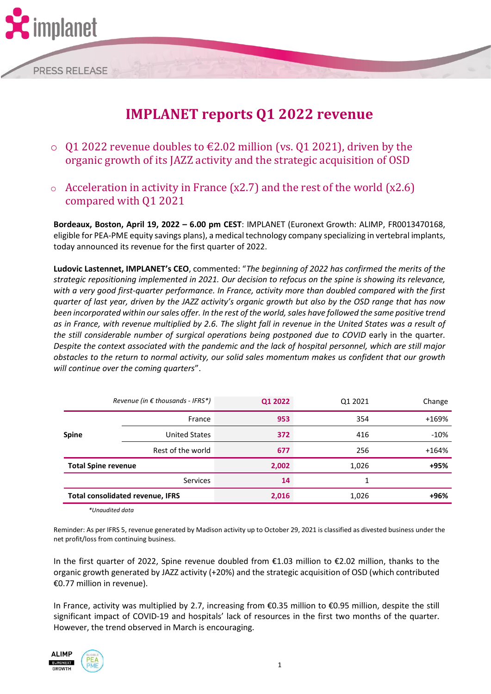

# **IMPLANET reports Q1 2022 revenue**

- Q1 2022 revenue doubles to  $€2.02$  million (vs. Q1 2021), driven by the organic growth of its JAZZ activity and the strategic acquisition of OSD
- $\circ$  Acceleration in activity in France (x2.7) and the rest of the world (x2.6) compared with Q1 2021

**Bordeaux, Boston, April 19, 2022 – 6.00 pm CEST**: IMPLANET (Euronext Growth: ALIMP, FR0013470168, eligible for PEA-PME equity savings plans), a medical technology company specializing in vertebral implants, today announced its revenue for the first quarter of 2022.

**Ludovic Lastennet, IMPLANET's CEO**, commented: "*The beginning of 2022 has confirmed the merits of the strategic repositioning implemented in 2021. Our decision to refocus on the spine is showing its relevance, with a very good first-quarter performance. In France, activity more than doubled compared with the first quarter of last year, driven by the JAZZ activity's organic growth but also by the OSD range that has now been incorporated within our sales offer. In the rest of the world, sales have followed the same positive trend as in France, with revenue multiplied by 2.6. The slight fall in revenue in the United States was a result of the still considerable number of surgical operations being postponed due to COVID* early in the quarter*. Despite the context associated with the pandemic and the lack of hospital personnel, which are still major obstacles to the return to normal activity, our solid sales momentum makes us confident that our growth will continue over the coming quarters*".

| Revenue (in € thousands - IFRS*)        |                      | Q1 2022 | Q1 2021 | Change  |
|-----------------------------------------|----------------------|---------|---------|---------|
|                                         | France               | 953     | 354     | +169%   |
| <b>Spine</b>                            | <b>United States</b> | 372     | 416     | $-10%$  |
|                                         | Rest of the world    | 677     | 256     | $+164%$ |
| <b>Total Spine revenue</b>              |                      | 2,002   | 1,026   | +95%    |
|                                         | <b>Services</b>      | 14      | 1       |         |
| <b>Total consolidated revenue, IFRS</b> |                      | 2,016   | 1,026   | +96%    |
|                                         |                      |         |         |         |

*\*Unaudited data*

Reminder: As per IFRS 5, revenue generated by Madison activity up to October 29, 2021 is classified as divested business under the net profit/loss from continuing business.

In the first quarter of 2022, Spine revenue doubled from €1.03 million to €2.02 million, thanks to the organic growth generated by JAZZ activity (+20%) and the strategic acquisition of OSD (which contributed €0.77 million in revenue).

In France, activity was multiplied by 2.7, increasing from €0.35 million to €0.95 million, despite the still significant impact of COVID-19 and hospitals' lack of resources in the first two months of the quarter. However, the trend observed in March is encouraging.



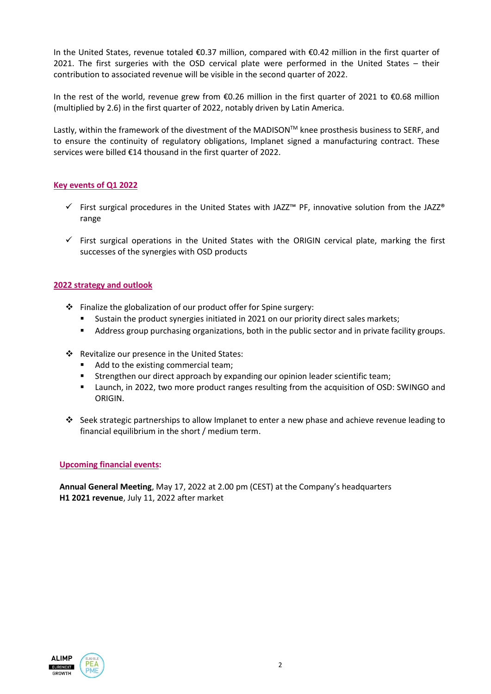In the United States, revenue totaled €0.37 million, compared with €0.42 million in the first quarter of 2021. The first surgeries with the OSD cervical plate were performed in the United States – their contribution to associated revenue will be visible in the second quarter of 2022.

In the rest of the world, revenue grew from €0.26 million in the first quarter of 2021 to €0.68 million (multiplied by 2.6) in the first quarter of 2022, notably driven by Latin America.

Lastly, within the framework of the divestment of the MADISON<sup>TM</sup> knee prosthesis business to SERF, and to ensure the continuity of regulatory obligations, Implanet signed a manufacturing contract. These services were billed €14 thousand in the first quarter of 2022.

# **Key events of Q1 2022**

- $\checkmark$  First surgical procedures in the United States with JAZZ<sup>™</sup> PF, innovative solution from the JAZZ® range
- $\checkmark$  First surgical operations in the United States with the ORIGIN cervical plate, marking the first successes of the synergies with OSD products

## **2022 strategy and outlook**

- ❖ Finalize the globalization of our product offer for Spine surgery:
	- Sustain the product synergies initiated in 2021 on our priority direct sales markets;
	- Address group purchasing organizations, both in the public sector and in private facility groups.
- ❖ Revitalize our presence in the United States:
	- Add to the existing commercial team;
	- **EXECT** Strengthen our direct approach by expanding our opinion leader scientific team;
	- Launch, in 2022, two more product ranges resulting from the acquisition of OSD: SWINGO and ORIGIN.
- ❖ Seek strategic partnerships to allow Implanet to enter a new phase and achieve revenue leading to financial equilibrium in the short / medium term.

## **Upcoming financial events:**

**Annual General Meeting**, May 17, 2022 at 2.00 pm (CEST) at the Company's headquarters **H1 2021 revenue**, July 11, 2022 after market